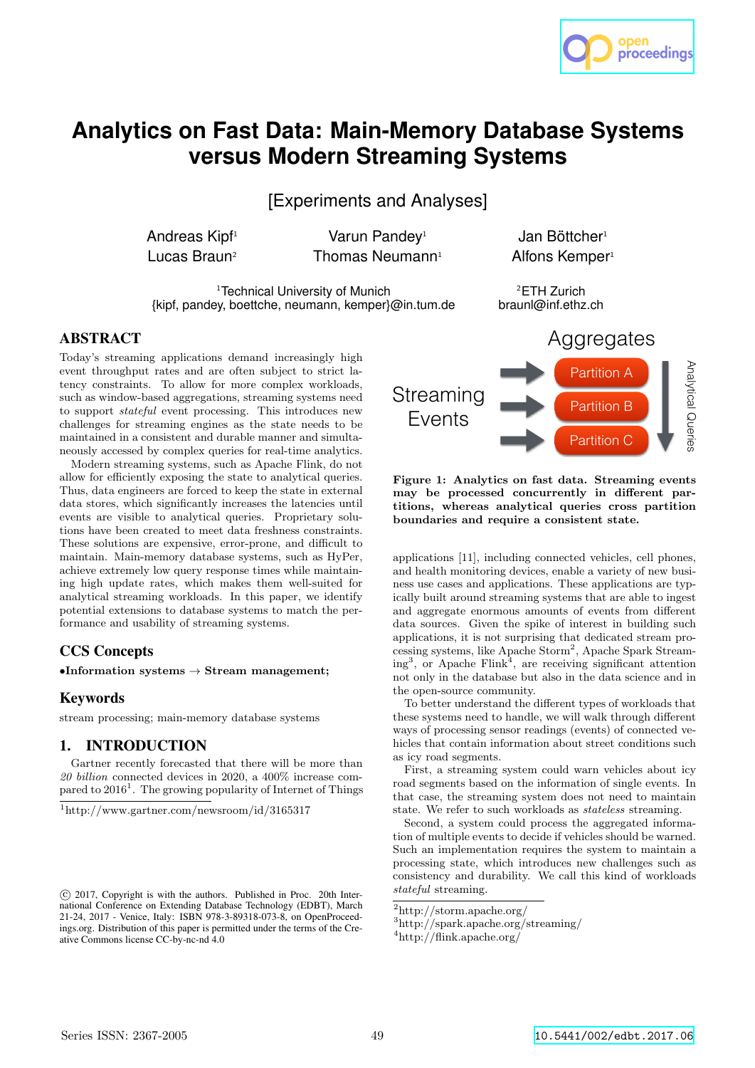

# **Analytics on Fast Data: Main-Memory Database Systems versus Modern Streaming Systems**

[Experiments and Analyses]

Andreas Kipf<sup>1</sup> Varun Pandey<sup>1</sup> Jan Böttcher<sup>1</sup> Lucas Braun<sup>2</sup> Thomas Neumann<sup>1</sup> Alfons Kemper<sup>1</sup>

<sup>1</sup>Technical University of Munich

{kipf, pandey, boettche, neumann, kemper}@in.tum.de

<sup>2</sup>ETH Zurich braunl@inf.ethz.ch

## ABSTRACT

Today's streaming applications demand increasingly high event throughput rates and are often subject to strict latency constraints. To allow for more complex workloads, such as window-based aggregations, streaming systems need to support stateful event processing. This introduces new challenges for streaming engines as the state needs to be maintained in a consistent and durable manner and simultaneously accessed by complex queries for real-time analytics.

Modern streaming systems, such as Apache Flink, do not allow for efficiently exposing the state to analytical queries. Thus, data engineers are forced to keep the state in external data stores, which significantly increases the latencies until events are visible to analytical queries. Proprietary solutions have been created to meet data freshness constraints. These solutions are expensive, error-prone, and difficult to maintain. Main-memory database systems, such as HyPer, achieve extremely low query response times while maintaining high update rates, which makes them well-suited for analytical streaming workloads. In this paper, we identify potential extensions to database systems to match the performance and usability of streaming systems.

## CCS Concepts

•Information systems  $\rightarrow$  Stream management;

## Keywords

stream processing; main-memory database systems

# 1. INTRODUCTION

Gartner recently forecasted that there will be more than 20 billion connected devices in 2020, a 400% increase compared to 2016<sup>1</sup>. The growing popularity of Internet of Things



Figure 1: Analytics on fast data. Streaming events may be processed concurrently in different partitions, whereas analytical queries cross partition boundaries and require a consistent state.

applications [11], including connected vehicles, cell phones, and health monitoring devices, enable a variety of new business use cases and applications. These applications are typically built around streaming systems that are able to ingest and aggregate enormous amounts of events from different data sources. Given the spike of interest in building such applications, it is not surprising that dedicated stream processing systems, like Apache Storm<sup>2</sup> , Apache Spark Streaming<sup>3</sup>, or Apache Flink<sup>4</sup>, are receiving significant attention not only in the database but also in the data science and in the open-source community.

To better understand the different types of workloads that these systems need to handle, we will walk through different ways of processing sensor readings (events) of connected vehicles that contain information about street conditions such as icy road segments.

First, a streaming system could warn vehicles about icy road segments based on the information of single events. In that case, the streaming system does not need to maintain state. We refer to such workloads as stateless streaming.

Second, a system could process the aggregated information of multiple events to decide if vehicles should be warned. Such an implementation requires the system to maintain a processing state, which introduces new challenges such as consistency and durability. We call this kind of workloads stateful streaming.

 $2$ http://storm.apache.org/

<sup>3</sup>http://spark.apache.org/streaming/

<sup>4</sup>http://flink.apache.org/

<sup>1</sup>http://www.gartner.com/newsroom/id/3165317

c 2017, Copyright is with the authors. Published in Proc. 20th International Conference on Extending Database Technology (EDBT), March 21-24, 2017 - Venice, Italy: ISBN 978-3-89318-073-8, on OpenProceedings.org. Distribution of this paper is permitted under the terms of the Creative Commons license CC-by-nc-nd 4.0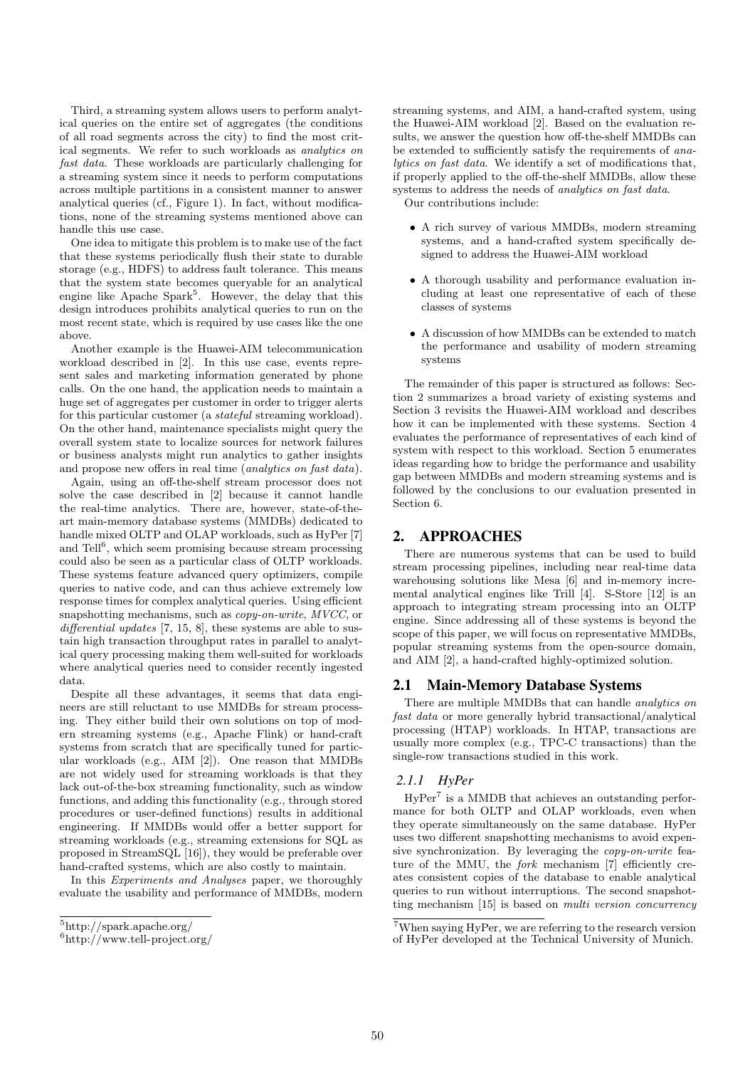Third, a streaming system allows users to perform analytical queries on the entire set of aggregates (the conditions of all road segments across the city) to find the most critical segments. We refer to such workloads as analytics on fast data. These workloads are particularly challenging for a streaming system since it needs to perform computations across multiple partitions in a consistent manner to answer analytical queries (cf., Figure 1). In fact, without modifications, none of the streaming systems mentioned above can handle this use case.

One idea to mitigate this problem is to make use of the fact that these systems periodically flush their state to durable storage (e.g., HDFS) to address fault tolerance. This means that the system state becomes queryable for an analytical engine like Apache Spark<sup>5</sup>. However, the delay that this design introduces prohibits analytical queries to run on the most recent state, which is required by use cases like the one above.

Another example is the Huawei-AIM telecommunication workload described in [2]. In this use case, events represent sales and marketing information generated by phone calls. On the one hand, the application needs to maintain a huge set of aggregates per customer in order to trigger alerts for this particular customer (a stateful streaming workload). On the other hand, maintenance specialists might query the overall system state to localize sources for network failures or business analysts might run analytics to gather insights and propose new offers in real time (analytics on fast data).

Again, using an off-the-shelf stream processor does not solve the case described in [2] because it cannot handle the real-time analytics. There are, however, state-of-theart main-memory database systems (MMDBs) dedicated to handle mixed OLTP and OLAP workloads, such as HyPer [7] and Tell<sup>6</sup>, which seem promising because stream processing could also be seen as a particular class of OLTP workloads. These systems feature advanced query optimizers, compile queries to native code, and can thus achieve extremely low response times for complex analytical queries. Using efficient snapshotting mechanisms, such as *copy-on-write*, MVCC, or differential updates [7, 15, 8], these systems are able to sustain high transaction throughput rates in parallel to analytical query processing making them well-suited for workloads where analytical queries need to consider recently ingested data.

Despite all these advantages, it seems that data engineers are still reluctant to use MMDBs for stream processing. They either build their own solutions on top of modern streaming systems (e.g., Apache Flink) or hand-craft systems from scratch that are specifically tuned for particular workloads (e.g., AIM [2]). One reason that MMDBs are not widely used for streaming workloads is that they lack out-of-the-box streaming functionality, such as window functions, and adding this functionality (e.g., through stored procedures or user-defined functions) results in additional engineering. If MMDBs would offer a better support for streaming workloads (e.g., streaming extensions for SQL as proposed in StreamSQL [16]), they would be preferable over hand-crafted systems, which are also costly to maintain.

In this Experiments and Analyses paper, we thoroughly evaluate the usability and performance of MMDBs, modern streaming systems, and AIM, a hand-crafted system, using the Huawei-AIM workload [2]. Based on the evaluation results, we answer the question how off-the-shelf MMDBs can be extended to sufficiently satisfy the requirements of analytics on fast data. We identify a set of modifications that, if properly applied to the off-the-shelf MMDBs, allow these systems to address the needs of *analytics on fast data*. Our contributions include:

• A rich survey of various MMDBs, modern streaming systems, and a hand-crafted system specifically designed to address the Huawei-AIM workload

- A thorough usability and performance evaluation including at least one representative of each of these classes of systems
- A discussion of how MMDBs can be extended to match the performance and usability of modern streaming systems

The remainder of this paper is structured as follows: Section 2 summarizes a broad variety of existing systems and Section 3 revisits the Huawei-AIM workload and describes how it can be implemented with these systems. Section 4 evaluates the performance of representatives of each kind of system with respect to this workload. Section 5 enumerates ideas regarding how to bridge the performance and usability gap between MMDBs and modern streaming systems and is followed by the conclusions to our evaluation presented in Section 6.

## 2. APPROACHES

There are numerous systems that can be used to build stream processing pipelines, including near real-time data warehousing solutions like Mesa [6] and in-memory incremental analytical engines like Trill [4]. S-Store [12] is an approach to integrating stream processing into an OLTP engine. Since addressing all of these systems is beyond the scope of this paper, we will focus on representative MMDBs, popular streaming systems from the open-source domain, and AIM [2], a hand-crafted highly-optimized solution.

## 2.1 Main-Memory Database Systems

There are multiple MMDBs that can handle analytics on fast data or more generally hybrid transactional/analytical processing (HTAP) workloads. In HTAP, transactions are usually more complex (e.g., TPC-C transactions) than the single-row transactions studied in this work.

## *2.1.1 HyPer*

HyPer<sup>7</sup> is a MMDB that achieves an outstanding performance for both OLTP and OLAP workloads, even when they operate simultaneously on the same database. HyPer uses two different snapshotting mechanisms to avoid expensive synchronization. By leveraging the copy-on-write feature of the MMU, the *fork* mechanism [7] efficiently creates consistent copies of the database to enable analytical queries to run without interruptions. The second snapshotting mechanism [15] is based on multi version concurrency

<sup>5</sup>http://spark.apache.org/

<sup>6</sup>http://www.tell-project.org/

<sup>7</sup>When saying HyPer, we are referring to the research version of HyPer developed at the Technical University of Munich.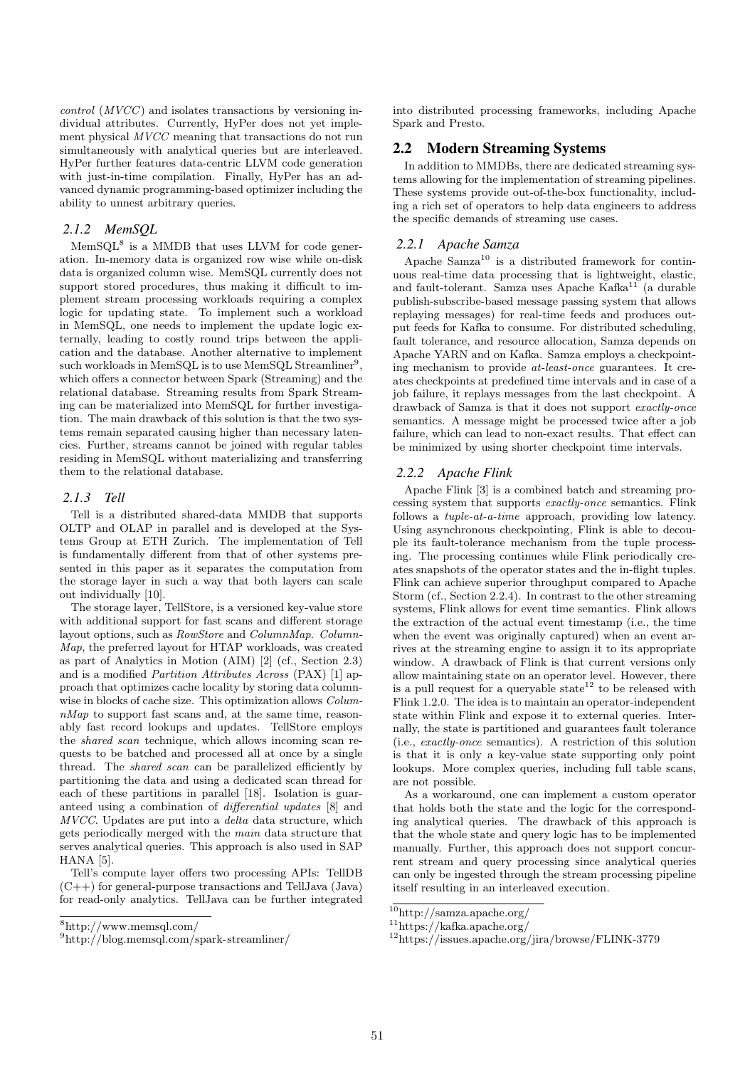control (MVCC) and isolates transactions by versioning individual attributes. Currently, HyPer does not yet implement physical MVCC meaning that transactions do not run simultaneously with analytical queries but are interleaved. HyPer further features data-centric LLVM code generation with just-in-time compilation. Finally, HyPer has an advanced dynamic programming-based optimizer including the ability to unnest arbitrary queries.

#### *2.1.2 MemSQL*

MemSQL<sup>8</sup> is a MMDB that uses LLVM for code generation. In-memory data is organized row wise while on-disk data is organized column wise. MemSQL currently does not support stored procedures, thus making it difficult to implement stream processing workloads requiring a complex logic for updating state. To implement such a workload in MemSQL, one needs to implement the update logic externally, leading to costly round trips between the application and the database. Another alternative to implement such workloads in MemSQL is to use MemSQL Streamliner<sup>9</sup>, which offers a connector between Spark (Streaming) and the relational database. Streaming results from Spark Streaming can be materialized into MemSQL for further investigation. The main drawback of this solution is that the two systems remain separated causing higher than necessary latencies. Further, streams cannot be joined with regular tables residing in MemSQL without materializing and transferring them to the relational database.

#### *2.1.3 Tell*

Tell is a distributed shared-data MMDB that supports OLTP and OLAP in parallel and is developed at the Systems Group at ETH Zurich. The implementation of Tell is fundamentally different from that of other systems presented in this paper as it separates the computation from the storage layer in such a way that both layers can scale out individually [10].

The storage layer, TellStore, is a versioned key-value store with additional support for fast scans and different storage layout options, such as  $RowStore$  and  $ColumnMan$ .  $Column-$ Map, the preferred layout for HTAP workloads, was created as part of Analytics in Motion (AIM) [2] (cf., Section 2.3) and is a modified Partition Attributes Across (PAX) [1] approach that optimizes cache locality by storing data columnwise in blocks of cache size. This optimization allows Colum $nMap$  to support fast scans and, at the same time, reasonably fast record lookups and updates. TellStore employs the shared scan technique, which allows incoming scan requests to be batched and processed all at once by a single thread. The shared scan can be parallelized efficiently by partitioning the data and using a dedicated scan thread for each of these partitions in parallel [18]. Isolation is guaranteed using a combination of differential updates [8] and MVCC. Updates are put into a delta data structure, which gets periodically merged with the main data structure that serves analytical queries. This approach is also used in SAP HANA [5].

Tell's compute layer offers two processing APIs: TellDB  $(C++)$  for general-purpose transactions and TellJava (Java) for read-only analytics. TellJava can be further integrated

into distributed processing frameworks, including Apache Spark and Presto.

## 2.2 Modern Streaming Systems

In addition to MMDBs, there are dedicated streaming systems allowing for the implementation of streaming pipelines. These systems provide out-of-the-box functionality, including a rich set of operators to help data engineers to address the specific demands of streaming use cases.

#### *2.2.1 Apache Samza*

Apache  $Samza<sup>10</sup>$  is a distributed framework for continuous real-time data processing that is lightweight, elastic, and fault-tolerant. Samza uses Apache Kafka<sup>11</sup> (a durable publish-subscribe-based message passing system that allows replaying messages) for real-time feeds and produces output feeds for Kafka to consume. For distributed scheduling, fault tolerance, and resource allocation, Samza depends on Apache YARN and on Kafka. Samza employs a checkpointing mechanism to provide at-least-once guarantees. It creates checkpoints at predefined time intervals and in case of a job failure, it replays messages from the last checkpoint. A drawback of Samza is that it does not support exactly-once semantics. A message might be processed twice after a job failure, which can lead to non-exact results. That effect can be minimized by using shorter checkpoint time intervals.

#### *2.2.2 Apache Flink*

Apache Flink [3] is a combined batch and streaming processing system that supports exactly-once semantics. Flink follows a tuple-at-a-time approach, providing low latency. Using asynchronous checkpointing, Flink is able to decouple its fault-tolerance mechanism from the tuple processing. The processing continues while Flink periodically creates snapshots of the operator states and the in-flight tuples. Flink can achieve superior throughput compared to Apache Storm (cf., Section 2.2.4). In contrast to the other streaming systems, Flink allows for event time semantics. Flink allows the extraction of the actual event timestamp (i.e., the time when the event was originally captured) when an event arrives at the streaming engine to assign it to its appropriate window. A drawback of Flink is that current versions only allow maintaining state on an operator level. However, there is a pull request for a queryable state  $12$  to be released with Flink 1.2.0. The idea is to maintain an operator-independent state within Flink and expose it to external queries. Internally, the state is partitioned and guarantees fault tolerance (i.e., exactly-once semantics). A restriction of this solution is that it is only a key-value state supporting only point lookups. More complex queries, including full table scans, are not possible.

As a workaround, one can implement a custom operator that holds both the state and the logic for the corresponding analytical queries. The drawback of this approach is that the whole state and query logic has to be implemented manually. Further, this approach does not support concurrent stream and query processing since analytical queries can only be ingested through the stream processing pipeline itself resulting in an interleaved execution.

<sup>8</sup>http://www.memsql.com/

<sup>9</sup>http://blog.memsql.com/spark-streamliner/

<sup>10</sup>http://samza.apache.org/

<sup>11</sup>https://kafka.apache.org/

<sup>12</sup>https://issues.apache.org/jira/browse/FLINK-3779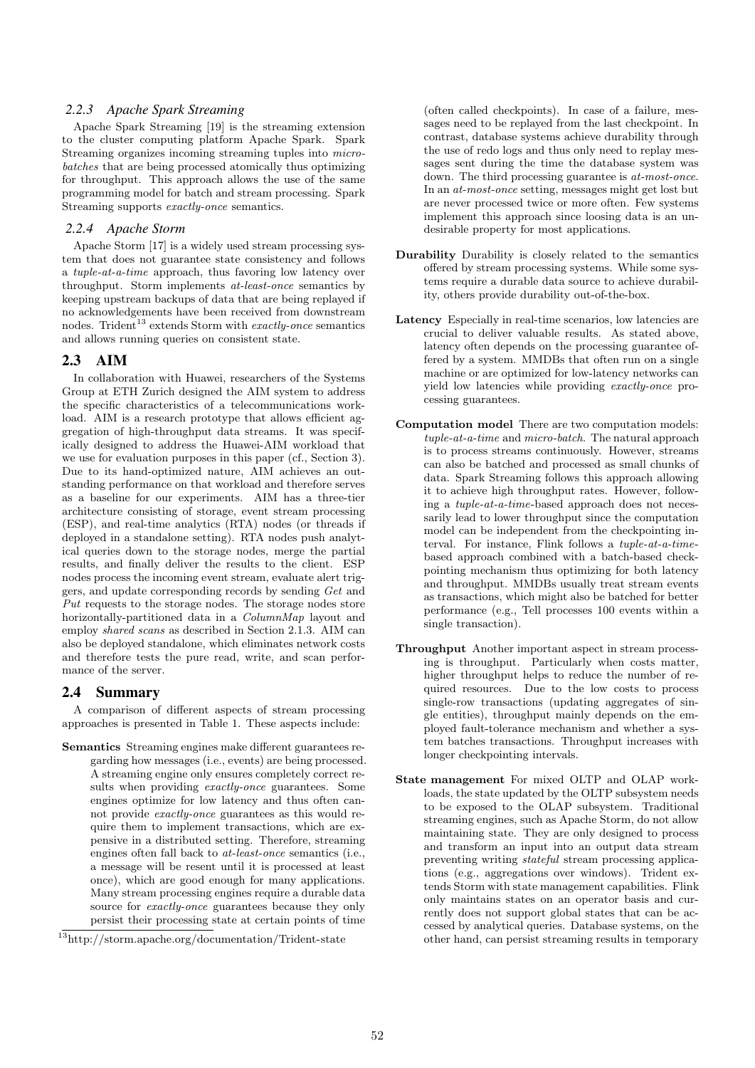#### *2.2.3 Apache Spark Streaming*

Apache Spark Streaming [19] is the streaming extension to the cluster computing platform Apache Spark. Spark Streaming organizes incoming streaming tuples into microbatches that are being processed atomically thus optimizing for throughput. This approach allows the use of the same programming model for batch and stream processing. Spark Streaming supports exactly-once semantics.

## *2.2.4 Apache Storm*

Apache Storm [17] is a widely used stream processing system that does not guarantee state consistency and follows a tuple-at-a-time approach, thus favoring low latency over throughput. Storm implements at-least-once semantics by keeping upstream backups of data that are being replayed if no acknowledgements have been received from downstream nodes. Trident<sup>13</sup> extends Storm with *exactly-once* semantics and allows running queries on consistent state.

## 2.3 AIM

In collaboration with Huawei, researchers of the Systems Group at ETH Zurich designed the AIM system to address the specific characteristics of a telecommunications workload. AIM is a research prototype that allows efficient aggregation of high-throughput data streams. It was specifically designed to address the Huawei-AIM workload that we use for evaluation purposes in this paper (cf., Section 3). Due to its hand-optimized nature, AIM achieves an outstanding performance on that workload and therefore serves as a baseline for our experiments. AIM has a three-tier architecture consisting of storage, event stream processing (ESP), and real-time analytics (RTA) nodes (or threads if deployed in a standalone setting). RTA nodes push analytical queries down to the storage nodes, merge the partial results, and finally deliver the results to the client. ESP nodes process the incoming event stream, evaluate alert triggers, and update corresponding records by sending Get and Put requests to the storage nodes. The storage nodes store horizontally-partitioned data in a *ColumnMap* layout and employ shared scans as described in Section 2.1.3. AIM can also be deployed standalone, which eliminates network costs and therefore tests the pure read, write, and scan performance of the server.

#### 2.4 Summary

A comparison of different aspects of stream processing approaches is presented in Table 1. These aspects include:

Semantics Streaming engines make different guarantees regarding how messages (i.e., events) are being processed. A streaming engine only ensures completely correct results when providing exactly-once guarantees. Some engines optimize for low latency and thus often cannot provide exactly-once guarantees as this would require them to implement transactions, which are expensive in a distributed setting. Therefore, streaming engines often fall back to at-least-once semantics (i.e., a message will be resent until it is processed at least once), which are good enough for many applications. Many stream processing engines require a durable data source for exactly-once guarantees because they only persist their processing state at certain points of time

(often called checkpoints). In case of a failure, messages need to be replayed from the last checkpoint. In contrast, database systems achieve durability through the use of redo logs and thus only need to replay messages sent during the time the database system was down. The third processing guarantee is at-most-once. In an at-most-once setting, messages might get lost but are never processed twice or more often. Few systems implement this approach since loosing data is an undesirable property for most applications.

- Durability Durability is closely related to the semantics offered by stream processing systems. While some systems require a durable data source to achieve durability, others provide durability out-of-the-box.
- Latency Especially in real-time scenarios, low latencies are crucial to deliver valuable results. As stated above, latency often depends on the processing guarantee offered by a system. MMDBs that often run on a single machine or are optimized for low-latency networks can yield low latencies while providing exactly-once processing guarantees.
- Computation model There are two computation models: tuple-at-a-time and micro-batch. The natural approach is to process streams continuously. However, streams can also be batched and processed as small chunks of data. Spark Streaming follows this approach allowing it to achieve high throughput rates. However, following a tuple-at-a-time-based approach does not necessarily lead to lower throughput since the computation model can be independent from the checkpointing interval. For instance, Flink follows a tuple-at-a-timebased approach combined with a batch-based checkpointing mechanism thus optimizing for both latency and throughput. MMDBs usually treat stream events as transactions, which might also be batched for better performance (e.g., Tell processes 100 events within a single transaction).
- Throughput Another important aspect in stream processing is throughput. Particularly when costs matter, higher throughput helps to reduce the number of required resources. Due to the low costs to process single-row transactions (updating aggregates of single entities), throughput mainly depends on the employed fault-tolerance mechanism and whether a system batches transactions. Throughput increases with longer checkpointing intervals.
- State management For mixed OLTP and OLAP workloads, the state updated by the OLTP subsystem needs to be exposed to the OLAP subsystem. Traditional streaming engines, such as Apache Storm, do not allow maintaining state. They are only designed to process and transform an input into an output data stream preventing writing stateful stream processing applications (e.g., aggregations over windows). Trident extends Storm with state management capabilities. Flink only maintains states on an operator basis and currently does not support global states that can be accessed by analytical queries. Database systems, on the other hand, can persist streaming results in temporary

 $\overline{^{13}{\rm http://storm.apache.org/documentation/Trident-state}}$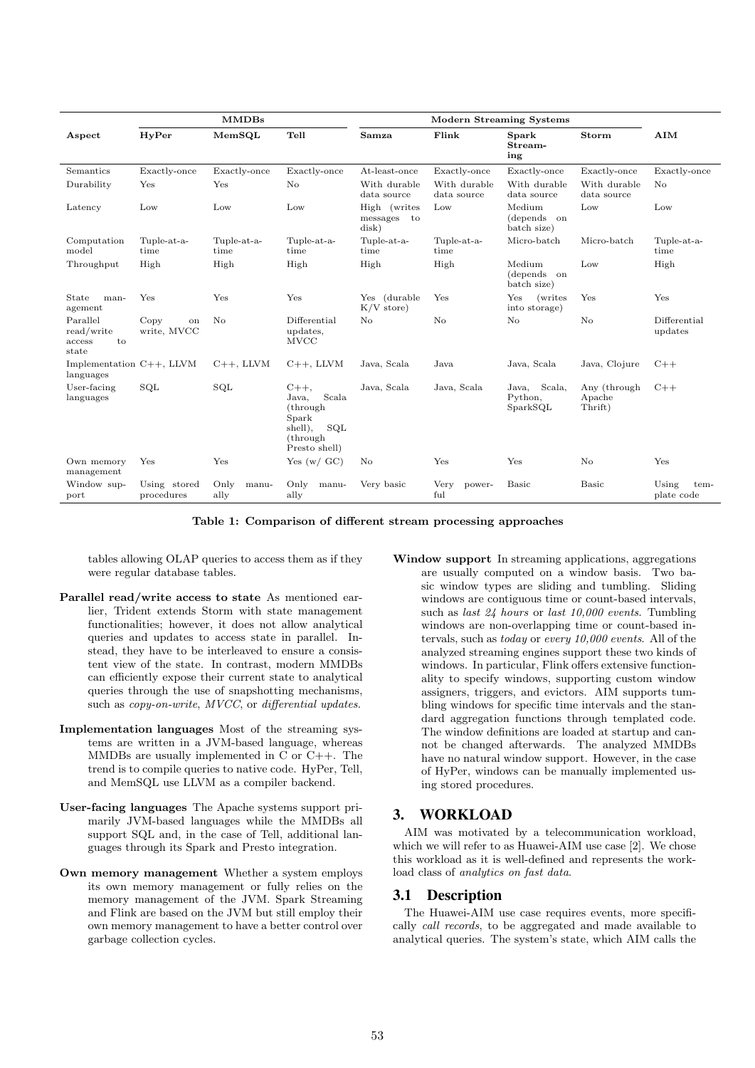| <b>MMDBs</b>                                    |                            |                       |                                                                                                  | <b>Modern Streaming Systems</b>      |                             |                                          |                                   |                             |  |
|-------------------------------------------------|----------------------------|-----------------------|--------------------------------------------------------------------------------------------------|--------------------------------------|-----------------------------|------------------------------------------|-----------------------------------|-----------------------------|--|
| Aspect                                          | HyPer                      | MemSQL                | Tell                                                                                             | Samza                                | Flink                       | Spark<br>Stream-<br>ing                  | <b>Storm</b>                      | AIM                         |  |
| Semantics                                       | Exactly-once               | Exactly-once          | Exactly-once                                                                                     | At-least-once                        | Exactly-once                | Exactly-once                             | Exactly-once                      | Exactly-once                |  |
| Durability                                      | Yes                        | Yes                   | No                                                                                               | With durable<br>data source          | With durable<br>data source | With durable<br>data source              | With durable<br>data source       | No                          |  |
| Latency                                         | Low                        | Low                   | Low                                                                                              | High (writes<br>messages to<br>disk) | Low                         | Medium<br>(depends on<br>batch size)     | Low                               | Low                         |  |
| Computation<br>model                            | Tuple-at-a-<br>time        | Tuple-at-a-<br>time   | Tuple-at-a-<br>time                                                                              | Tuple-at-a-<br>time                  | Tuple-at-a-<br>time         | Micro-batch                              | Micro-batch                       | Tuple-at-a-<br>time         |  |
| Throughput                                      | High                       | High                  | High                                                                                             | High                                 | High                        | Medium<br>(depends)<br>on<br>batch size) | Low                               | High                        |  |
| State<br>man-<br>agement                        | Yes                        | Yes                   | Yes                                                                                              | Yes (durable<br>$K/V$ store)         | Yes                         | Yes<br>(writes)<br>into storage)         | Yes                               | Yes                         |  |
| Parallel<br>read/write<br>to<br>access<br>state | Copy<br>on<br>write, MVCC  | No                    | Differential<br>updates,<br><b>MVCC</b>                                                          | No                                   | No                          | No                                       | No                                | Differential<br>updates     |  |
| Implementation $C++$ , LLVM<br>languages        |                            | $C++$ , LLVM          | $C++$ , LLVM                                                                                     | Java, Scala                          | Java                        | Java, Scala                              | Java, Clojure                     | $C++$                       |  |
| User-facing<br>languages                        | SQL                        | SQL                   | $C_{++}$<br>Scala<br>Java,<br>(through)<br>Spark<br>shell),<br>SQL<br>(through)<br>Presto shell) | Java, Scala                          | Java, Scala                 | Java, Scala,<br>Python.<br>SparkSOL      | Any (through<br>Apache<br>Thrift) | $C++$                       |  |
| Own memory<br>management                        | Yes                        | Yes                   | Yes $(w / GC)$                                                                                   | No                                   | Yes                         | Yes                                      | No                                | Yes                         |  |
| Window sup-<br>port                             | Using stored<br>procedures | Only<br>manu-<br>ally | Only<br>manu-<br>ally                                                                            | Very basic                           | Very<br>power-<br>ful       | <b>Basic</b>                             | <b>Basic</b>                      | Using<br>tem-<br>plate code |  |

Table 1: Comparison of different stream processing approaches

tables allowing OLAP queries to access them as if they were regular database tables.

- Parallel read/write access to state As mentioned earlier, Trident extends Storm with state management functionalities; however, it does not allow analytical queries and updates to access state in parallel. Instead, they have to be interleaved to ensure a consistent view of the state. In contrast, modern MMDBs can efficiently expose their current state to analytical queries through the use of snapshotting mechanisms, such as *copy-on-write*, *MVCC*, or *differential updates*.
- Implementation languages Most of the streaming systems are written in a JVM-based language, whereas MMDBs are usually implemented in C or C++. The trend is to compile queries to native code. HyPer, Tell, and MemSQL use LLVM as a compiler backend.
- User-facing languages The Apache systems support primarily JVM-based languages while the MMDBs all support SQL and, in the case of Tell, additional languages through its Spark and Presto integration.
- Own memory management Whether a system employs its own memory management or fully relies on the memory management of the JVM. Spark Streaming and Flink are based on the JVM but still employ their own memory management to have a better control over garbage collection cycles.
- Window support In streaming applications, aggregations are usually computed on a window basis. Two basic window types are sliding and tumbling. Sliding windows are contiguous time or count-based intervals, such as last 24 hours or last 10,000 events. Tumbling windows are non-overlapping time or count-based intervals, such as today or every 10,000 events. All of the analyzed streaming engines support these two kinds of windows. In particular, Flink offers extensive functionality to specify windows, supporting custom window assigners, triggers, and evictors. AIM supports tumbling windows for specific time intervals and the standard aggregation functions through templated code. The window definitions are loaded at startup and cannot be changed afterwards. The analyzed MMDBs have no natural window support. However, in the case of HyPer, windows can be manually implemented using stored procedures.

# 3. WORKLOAD

AIM was motivated by a telecommunication workload, which we will refer to as Huawei-AIM use case [2]. We chose this workload as it is well-defined and represents the workload class of analytics on fast data.

# 3.1 Description

The Huawei-AIM use case requires events, more specifically call records, to be aggregated and made available to analytical queries. The system's state, which AIM calls the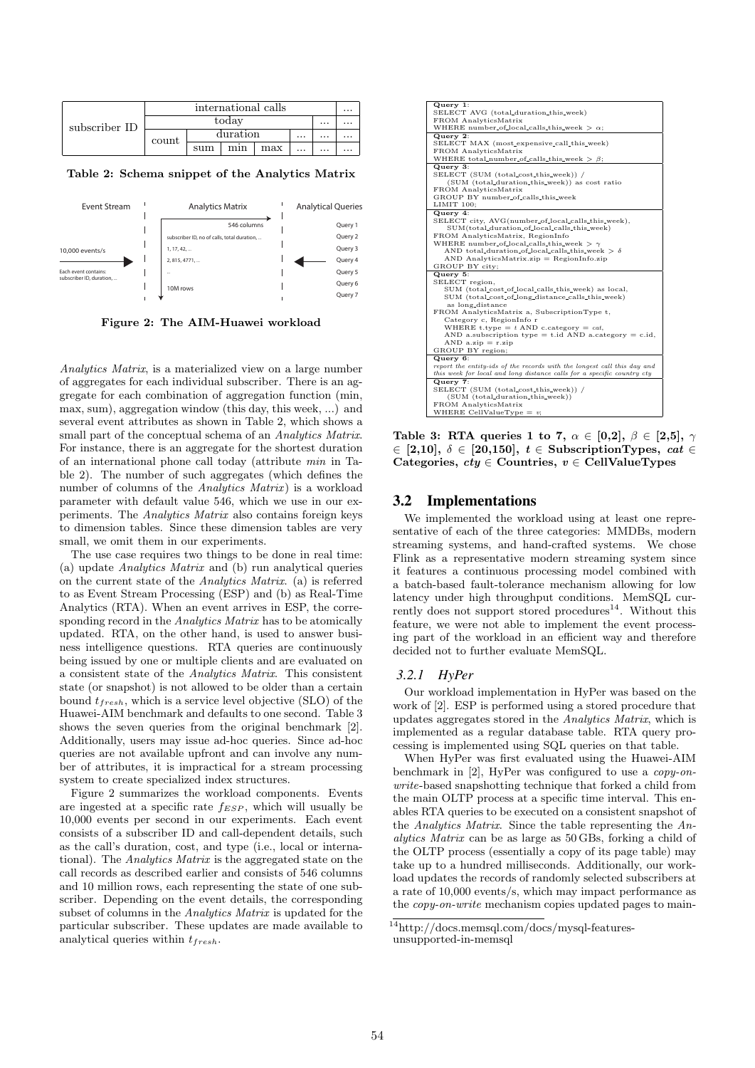|               | international calls |     |          |     |          |          |          |
|---------------|---------------------|-----|----------|-----|----------|----------|----------|
| subscriber ID | today<br>$\cdots$   |     |          |     |          |          | $\cdots$ |
|               | count               |     | duration |     | $\cdots$ | $\cdots$ | $\cdots$ |
|               |                     | sum | mın      | max |          | $\cdots$ | $\cdots$ |

Table 2: Schema snippet of the Analytics Matrix



Figure 2: The AIM-Huawei workload

Analytics Matrix, is a materialized view on a large number of aggregates for each individual subscriber. There is an aggregate for each combination of aggregation function (min, max, sum), aggregation window (this day, this week, ...) and several event attributes as shown in Table 2, which shows a small part of the conceptual schema of an Analytics Matrix. For instance, there is an aggregate for the shortest duration of an international phone call today (attribute min in Table 2). The number of such aggregates (which defines the number of columns of the *Analytics Matrix*) is a workload parameter with default value 546, which we use in our experiments. The Analytics Matrix also contains foreign keys to dimension tables. Since these dimension tables are very small, we omit them in our experiments.

The use case requires two things to be done in real time: (a) update Analytics Matrix and (b) run analytical queries on the current state of the Analytics Matrix. (a) is referred to as Event Stream Processing (ESP) and (b) as Real-Time Analytics (RTA). When an event arrives in ESP, the corresponding record in the *Analytics Matrix* has to be atomically updated. RTA, on the other hand, is used to answer business intelligence questions. RTA queries are continuously being issued by one or multiple clients and are evaluated on a consistent state of the Analytics Matrix. This consistent state (or snapshot) is not allowed to be older than a certain bound  $t_{fresh}$ , which is a service level objective (SLO) of the Huawei-AIM benchmark and defaults to one second. Table 3 shows the seven queries from the original benchmark [2]. Additionally, users may issue ad-hoc queries. Since ad-hoc queries are not available upfront and can involve any number of attributes, it is impractical for a stream processing system to create specialized index structures.

Figure 2 summarizes the workload components. Events are ingested at a specific rate  $f_{ESP}$ , which will usually be 10,000 events per second in our experiments. Each event consists of a subscriber ID and call-dependent details, such as the call's duration, cost, and type (i.e., local or international). The Analytics Matrix is the aggregated state on the call records as described earlier and consists of 546 columns and 10 million rows, each representing the state of one subscriber. Depending on the event details, the corresponding subset of columns in the Analytics Matrix is updated for the particular subscriber. These updates are made available to analytical queries within  $t_{fresh}$ .

| Query 1:                                                                |
|-------------------------------------------------------------------------|
| SELECT AVG (total_duration_this_week)                                   |
| FROM AnalyticsMatrix                                                    |
| WHERE number of local calls this week $\geq \alpha$ ;                   |
| Query 2:                                                                |
| SELECT MAX (most_expensive_call_this_week)                              |
| FROM AnalyticsMatrix                                                    |
| WHERE total_number_of_calls_this_week $> \beta$ ;                       |
| Query 3:                                                                |
| SELECT (SUM (total_cost_this_week)) /                                   |
| (SUM (total_duration_this_week)) as cost ratio                          |
| FROM AnalyticsMatrix                                                    |
| GROUP BY number_of_calls_this_week                                      |
| LIMIT 100:                                                              |
| Query 4:                                                                |
| SELECT city, AVG(number_of_local_calls_this_week),                      |
| SUM(total_duration_of_local_calls_this_week)                            |
| FROM AnalyticsMatrix, RegionInfo                                        |
| WHERE number of local calls this week $> \gamma$                        |
| AND total_duration_of_local_calls_this_week $> \delta$                  |
| $AND$ AnalyticsMatrix.zip = RegionInfo.zip                              |
| GROUP BY city;                                                          |
| Query 5:                                                                |
| SELECT region,                                                          |
| SUM (total_cost_of_local_calls_this_week) as local,                     |
| SUM (total_cost_of_long_distance_calls_this_week)                       |
| as long_distance                                                        |
| FROM AnalyticsMatrix a, SubscriptionType t,                             |
| Category c, RegionInfo r                                                |
| WHERE t.type $=$ t AND c.category $=$ cat.                              |
| AND a.subscription type $=$ t.id AND a.category $=$ c.id,               |
| $AND$ a.zip = r.zip                                                     |
| GROUP BY region;                                                        |
| Query 6:                                                                |
| report the entity-ids of the records with the longest call this day and |
| this week for local and long distance calls for a specific country cty  |
| Query 7:                                                                |
| SELECT (SUM (total_cost_this_week)) /                                   |
| (SUM (total_duration_this_week))                                        |
| FROM AnalyticsMatrix                                                    |
| WHERE CellValueType $= v$ ;                                             |

Table 3: RTA queries 1 to 7,  $\alpha \in [0,2], \beta \in [2,5], \gamma$  $\in$  [2,10],  $\delta \in$  [20,150],  $t \in$  SubscriptionTypes, cat  $\in$ Categories,  $cty \in$  Countries,  $v \in$  CellValueTypes

## 3.2 Implementations

We implemented the workload using at least one representative of each of the three categories: MMDBs, modern streaming systems, and hand-crafted systems. We chose Flink as a representative modern streaming system since it features a continuous processing model combined with a batch-based fault-tolerance mechanism allowing for low latency under high throughput conditions. MemSQL currently does not support stored procedures<sup>14</sup>. Without this feature, we were not able to implement the event processing part of the workload in an efficient way and therefore decided not to further evaluate MemSQL.

#### *3.2.1 HyPer*

Our workload implementation in HyPer was based on the work of [2]. ESP is performed using a stored procedure that updates aggregates stored in the Analytics Matrix, which is implemented as a regular database table. RTA query processing is implemented using SQL queries on that table.

When HyPer was first evaluated using the Huawei-AIM benchmark in [2], HyPer was configured to use a copy-onwrite-based snapshotting technique that forked a child from the main OLTP process at a specific time interval. This enables RTA queries to be executed on a consistent snapshot of the Analytics Matrix. Since the table representing the Analytics Matrix can be as large as 50 GBs, forking a child of the OLTP process (essentially a copy of its page table) may take up to a hundred milliseconds. Additionally, our workload updates the records of randomly selected subscribers at a rate of 10,000 events/s, which may impact performance as the *copy-on-write* mechanism copies updated pages to main-

 $\rm ^{14}$  http://docs.memsql.com/docs/mysql-featuresunsupported-in-memsql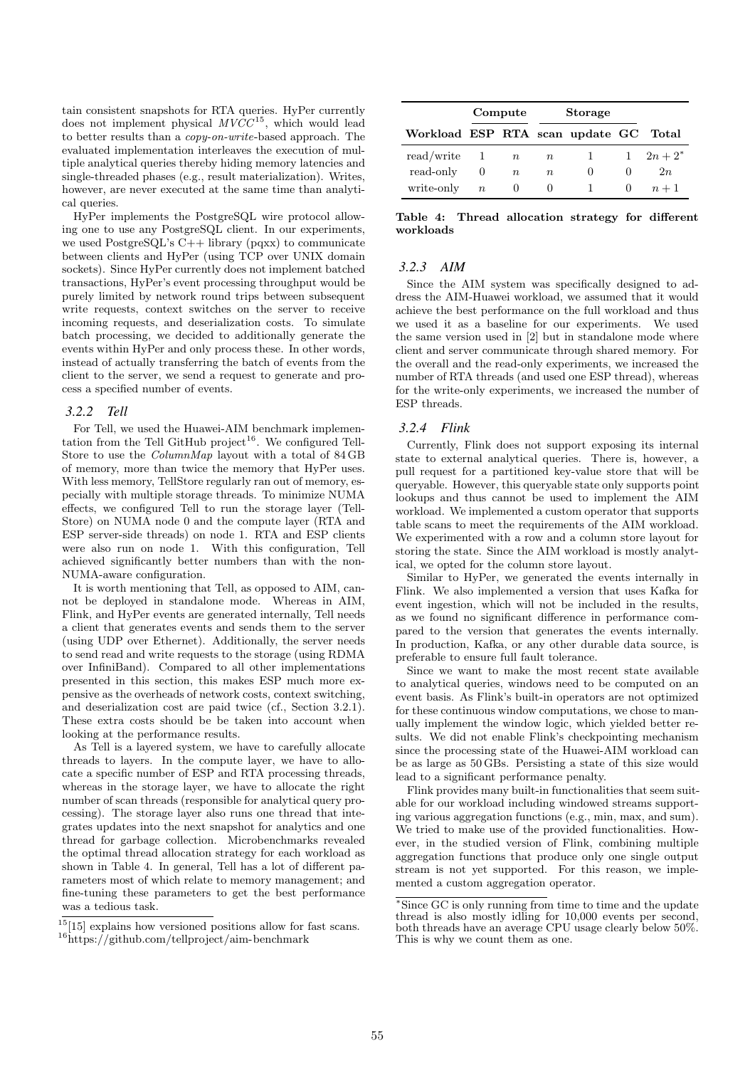tain consistent snapshots for RTA queries. HyPer currently does not implement physical  $MVCC^{15}$ , which would lead to better results than a copy-on-write-based approach. The evaluated implementation interleaves the execution of multiple analytical queries thereby hiding memory latencies and single-threaded phases (e.g., result materialization). Writes, however, are never executed at the same time than analytical queries.

HyPer implements the PostgreSQL wire protocol allowing one to use any PostgreSQL client. In our experiments, we used PostgreSQL's  $C_{++}$  library (pqxx) to communicate between clients and HyPer (using TCP over UNIX domain sockets). Since HyPer currently does not implement batched transactions, HyPer's event processing throughput would be purely limited by network round trips between subsequent write requests, context switches on the server to receive incoming requests, and deserialization costs. To simulate batch processing, we decided to additionally generate the events within HyPer and only process these. In other words, instead of actually transferring the batch of events from the client to the server, we send a request to generate and process a specified number of events.

## *3.2.2 Tell*

For Tell, we used the Huawei-AIM benchmark implementation from the Tell GitHub project<sup>16</sup>. We configured Tell-Store to use the ColumnMap layout with a total of 84 GB of memory, more than twice the memory that HyPer uses. With less memory, TellStore regularly ran out of memory, especially with multiple storage threads. To minimize NUMA effects, we configured Tell to run the storage layer (Tell-Store) on NUMA node 0 and the compute layer (RTA and ESP server-side threads) on node 1. RTA and ESP clients were also run on node 1. With this configuration, Tell achieved significantly better numbers than with the non-NUMA-aware configuration.

It is worth mentioning that Tell, as opposed to AIM, cannot be deployed in standalone mode. Whereas in AIM, Flink, and HyPer events are generated internally, Tell needs a client that generates events and sends them to the server (using UDP over Ethernet). Additionally, the server needs to send read and write requests to the storage (using RDMA over InfiniBand). Compared to all other implementations presented in this section, this makes ESP much more expensive as the overheads of network costs, context switching, and deserialization cost are paid twice (cf., Section 3.2.1). These extra costs should be be taken into account when looking at the performance results.

As Tell is a layered system, we have to carefully allocate threads to layers. In the compute layer, we have to allocate a specific number of ESP and RTA processing threads, whereas in the storage layer, we have to allocate the right number of scan threads (responsible for analytical query processing). The storage layer also runs one thread that integrates updates into the next snapshot for analytics and one thread for garbage collection. Microbenchmarks revealed the optimal thread allocation strategy for each workload as shown in Table 4. In general, Tell has a lot of different parameters most of which relate to memory management; and fine-tuning these parameters to get the best performance was a tedious task.

|                                       |             | Compute     | <b>Storage</b> |       |  |                  |
|---------------------------------------|-------------|-------------|----------------|-------|--|------------------|
| Workload ESP RTA scan update GC Total |             |             |                |       |  |                  |
| read/write 1                          |             | $n_{\rm c}$ | $\, n$         | - 1 - |  | $1 \quad 2n+2^*$ |
| read-only                             |             | $n_{\rm c}$ | $n_{\rm c}$    | O     |  | 2n               |
| write-only                            | $n_{\rm c}$ | $\cup$      | $^{(1)}$       |       |  | $n+1$            |

Table 4: Thread allocation strategy for different workloads

#### *3.2.3 AIM*

Since the AIM system was specifically designed to address the AIM-Huawei workload, we assumed that it would achieve the best performance on the full workload and thus we used it as a baseline for our experiments. We used the same version used in [2] but in standalone mode where client and server communicate through shared memory. For the overall and the read-only experiments, we increased the number of RTA threads (and used one ESP thread), whereas for the write-only experiments, we increased the number of ESP threads.

## *3.2.4 Flink*

Currently, Flink does not support exposing its internal state to external analytical queries. There is, however, a pull request for a partitioned key-value store that will be queryable. However, this queryable state only supports point lookups and thus cannot be used to implement the AIM workload. We implemented a custom operator that supports table scans to meet the requirements of the AIM workload. We experimented with a row and a column store layout for storing the state. Since the AIM workload is mostly analytical, we opted for the column store layout.

Similar to HyPer, we generated the events internally in Flink. We also implemented a version that uses Kafka for event ingestion, which will not be included in the results, as we found no significant difference in performance compared to the version that generates the events internally. In production, Kafka, or any other durable data source, is preferable to ensure full fault tolerance.

Since we want to make the most recent state available to analytical queries, windows need to be computed on an event basis. As Flink's built-in operators are not optimized for these continuous window computations, we chose to manually implement the window logic, which yielded better results. We did not enable Flink's checkpointing mechanism since the processing state of the Huawei-AIM workload can be as large as 50 GBs. Persisting a state of this size would lead to a significant performance penalty.

Flink provides many built-in functionalities that seem suitable for our workload including windowed streams supporting various aggregation functions (e.g., min, max, and sum). We tried to make use of the provided functionalities. However, in the studied version of Flink, combining multiple aggregation functions that produce only one single output stream is not yet supported. For this reason, we implemented a custom aggregation operator.

 $15$ [15] explains how versioned positions allow for fast scans. <sup>16</sup>https://github.com/tellproject/aim-benchmark

<sup>∗</sup>Since GC is only running from time to time and the update thread is also mostly idling for 10,000 events per second, both threads have an average CPU usage clearly below 50%. This is why we count them as one.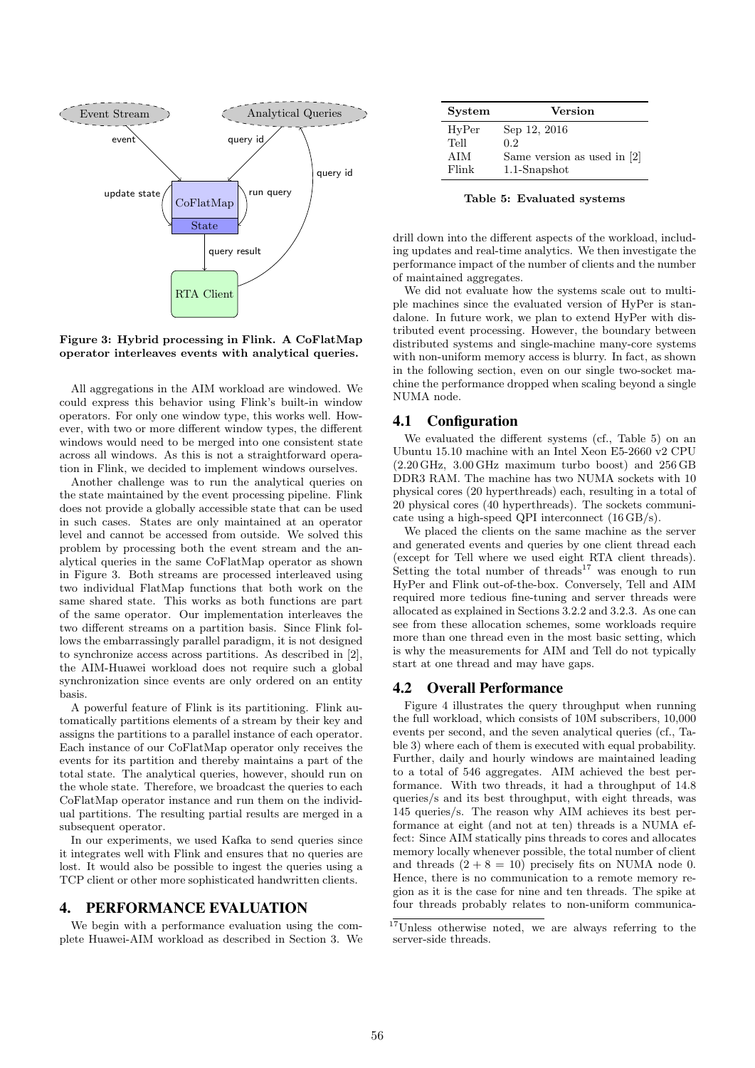

Figure 3: Hybrid processing in Flink. A CoFlatMap operator interleaves events with analytical queries.

All aggregations in the AIM workload are windowed. We could express this behavior using Flink's built-in window operators. For only one window type, this works well. However, with two or more different window types, the different windows would need to be merged into one consistent state across all windows. As this is not a straightforward operation in Flink, we decided to implement windows ourselves.

Another challenge was to run the analytical queries on the state maintained by the event processing pipeline. Flink does not provide a globally accessible state that can be used in such cases. States are only maintained at an operator level and cannot be accessed from outside. We solved this problem by processing both the event stream and the analytical queries in the same CoFlatMap operator as shown in Figure 3. Both streams are processed interleaved using two individual FlatMap functions that both work on the same shared state. This works as both functions are part of the same operator. Our implementation interleaves the two different streams on a partition basis. Since Flink follows the embarrassingly parallel paradigm, it is not designed to synchronize access across partitions. As described in [2], the AIM-Huawei workload does not require such a global synchronization since events are only ordered on an entity basis.

A powerful feature of Flink is its partitioning. Flink automatically partitions elements of a stream by their key and assigns the partitions to a parallel instance of each operator. Each instance of our CoFlatMap operator only receives the events for its partition and thereby maintains a part of the total state. The analytical queries, however, should run on the whole state. Therefore, we broadcast the queries to each CoFlatMap operator instance and run them on the individual partitions. The resulting partial results are merged in a subsequent operator.

In our experiments, we used Kafka to send queries since it integrates well with Flink and ensures that no queries are lost. It would also be possible to ingest the queries using a TCP client or other more sophisticated handwritten clients.

## 4. PERFORMANCE EVALUATION

We begin with a performance evaluation using the complete Huawei-AIM workload as described in Section 3. We

| <b>System</b> | <b>Version</b>                |
|---------------|-------------------------------|
| HyPer         | Sep 12, 2016                  |
| Tell          | 0.2 <sub>1</sub>              |
| AIM           | Same version as used in $ 2 $ |
| Flink         | $1.1$ -Snapshot               |

Table 5: Evaluated systems

drill down into the different aspects of the workload, including updates and real-time analytics. We then investigate the performance impact of the number of clients and the number of maintained aggregates.

We did not evaluate how the systems scale out to multiple machines since the evaluated version of HyPer is standalone. In future work, we plan to extend HyPer with distributed event processing. However, the boundary between distributed systems and single-machine many-core systems with non-uniform memory access is blurry. In fact, as shown in the following section, even on our single two-socket machine the performance dropped when scaling beyond a single NUMA node.

## 4.1 Configuration

We evaluated the different systems (cf., Table 5) on an Ubuntu 15.10 machine with an Intel Xeon E5-2660 v2 CPU (2.20 GHz, 3.00 GHz maximum turbo boost) and 256 GB DDR3 RAM. The machine has two NUMA sockets with 10 physical cores (20 hyperthreads) each, resulting in a total of 20 physical cores (40 hyperthreads). The sockets communicate using a high-speed QPI interconnect (16 GB/s).

We placed the clients on the same machine as the server and generated events and queries by one client thread each (except for Tell where we used eight RTA client threads). Setting the total number of threads<sup>17</sup> was enough to run HyPer and Flink out-of-the-box. Conversely, Tell and AIM required more tedious fine-tuning and server threads were allocated as explained in Sections 3.2.2 and 3.2.3. As one can see from these allocation schemes, some workloads require more than one thread even in the most basic setting, which is why the measurements for AIM and Tell do not typically start at one thread and may have gaps.

## 4.2 Overall Performance

Figure 4 illustrates the query throughput when running the full workload, which consists of 10M subscribers, 10,000 events per second, and the seven analytical queries (cf., Table 3) where each of them is executed with equal probability. Further, daily and hourly windows are maintained leading to a total of 546 aggregates. AIM achieved the best performance. With two threads, it had a throughput of 14.8 queries/s and its best throughput, with eight threads, was 145 queries/s. The reason why AIM achieves its best performance at eight (and not at ten) threads is a NUMA effect: Since AIM statically pins threads to cores and allocates memory locally whenever possible, the total number of client and threads  $(2 + 8 = 10)$  precisely fits on NUMA node 0. Hence, there is no communication to a remote memory region as it is the case for nine and ten threads. The spike at four threads probably relates to non-uniform communica-

<sup>17</sup>Unless otherwise noted, we are always referring to the server-side threads.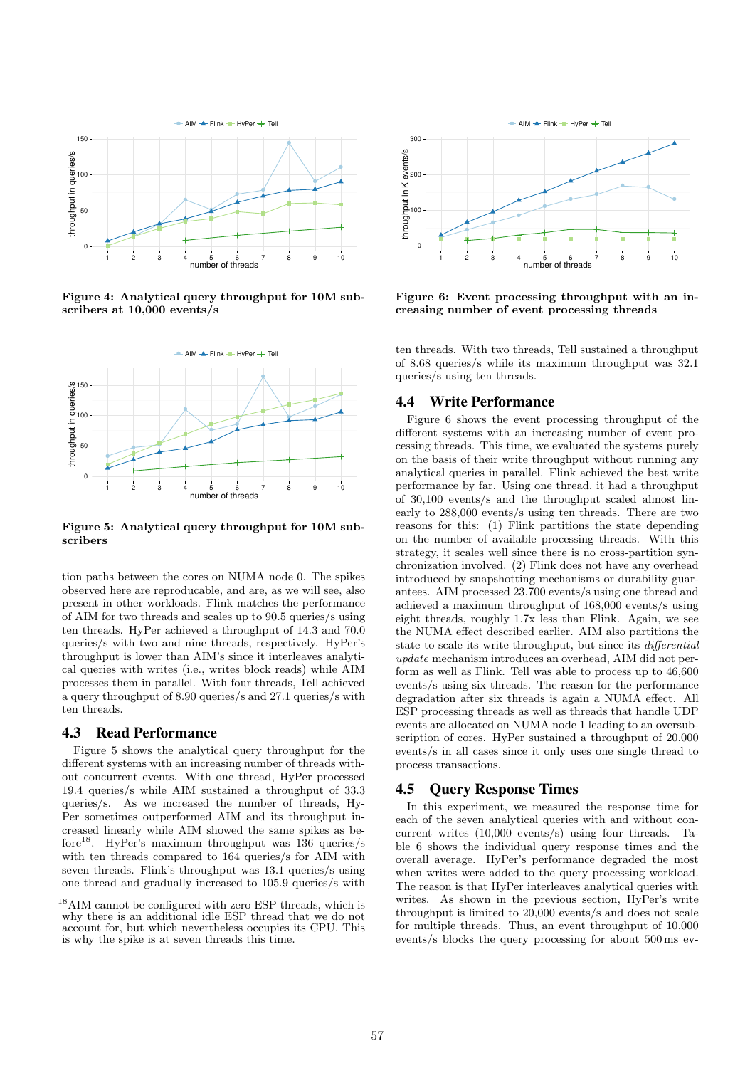

Figure 4: Analytical query throughput for 10M subscribers at 10,000 events/s



Figure 5: Analytical query throughput for 10M subscribers

tion paths between the cores on NUMA node 0. The spikes observed here are reproducable, and are, as we will see, also present in other workloads. Flink matches the performance of AIM for two threads and scales up to 90.5 queries/s using ten threads. HyPer achieved a throughput of 14.3 and 70.0 queries/s with two and nine threads, respectively. HyPer's throughput is lower than AIM's since it interleaves analytical queries with writes (i.e., writes block reads) while AIM processes them in parallel. With four threads, Tell achieved a query throughput of 8.90 queries/s and 27.1 queries/s with ten threads.

## 4.3 Read Performance

Figure 5 shows the analytical query throughput for the different systems with an increasing number of threads without concurrent events. With one thread, HyPer processed 19.4 queries/s while AIM sustained a throughput of 33.3 queries/s. As we increased the number of threads, Hy-Per sometimes outperformed AIM and its throughput increased linearly while AIM showed the same spikes as before<sup>18</sup>. HyPer's maximum throughput was 136 queries/s with ten threads compared to 164 queries/s for AIM with seven threads. Flink's throughput was 13.1 queries/s using one thread and gradually increased to 105.9 queries/s with



Figure 6: Event processing throughput with an increasing number of event processing threads

ten threads. With two threads, Tell sustained a throughput of 8.68 queries/s while its maximum throughput was 32.1 queries/s using ten threads.

## 4.4 Write Performance

Figure 6 shows the event processing throughput of the different systems with an increasing number of event processing threads. This time, we evaluated the systems purely on the basis of their write throughput without running any analytical queries in parallel. Flink achieved the best write performance by far. Using one thread, it had a throughput of 30,100 events/s and the throughput scaled almost linearly to 288,000 events/s using ten threads. There are two reasons for this: (1) Flink partitions the state depending on the number of available processing threads. With this strategy, it scales well since there is no cross-partition synchronization involved. (2) Flink does not have any overhead introduced by snapshotting mechanisms or durability guarantees. AIM processed 23,700 events/s using one thread and achieved a maximum throughput of 168,000 events/s using eight threads, roughly 1.7x less than Flink. Again, we see the NUMA effect described earlier. AIM also partitions the state to scale its write throughput, but since its differential update mechanism introduces an overhead, AIM did not perform as well as Flink. Tell was able to process up to 46,600 events/s using six threads. The reason for the performance degradation after six threads is again a NUMA effect. All ESP processing threads as well as threads that handle UDP events are allocated on NUMA node 1 leading to an oversubscription of cores. HyPer sustained a throughput of 20,000 events/s in all cases since it only uses one single thread to process transactions.

## 4.5 Query Response Times

In this experiment, we measured the response time for each of the seven analytical queries with and without concurrent writes (10,000 events/s) using four threads. Table 6 shows the individual query response times and the overall average. HyPer's performance degraded the most when writes were added to the query processing workload. The reason is that HyPer interleaves analytical queries with writes. As shown in the previous section, HyPer's write throughput is limited to 20,000 events/s and does not scale for multiple threads. Thus, an event throughput of 10,000 events/s blocks the query processing for about 500 ms ev-

<sup>18</sup>AIM cannot be configured with zero ESP threads, which is why there is an additional idle ESP thread that we do not account for, but which nevertheless occupies its CPU. This is why the spike is at seven threads this time.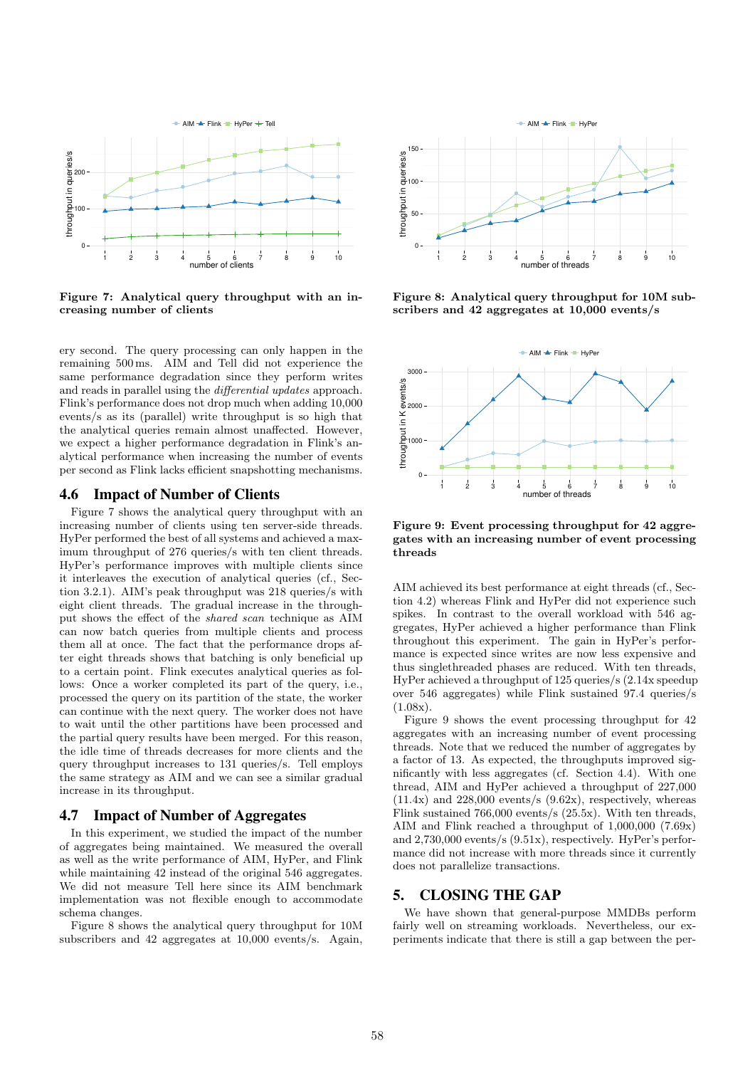

Figure 7: Analytical query throughput with an increasing number of clients

ery second. The query processing can only happen in the remaining 500 ms. AIM and Tell did not experience the same performance degradation since they perform writes and reads in parallel using the differential updates approach. Flink's performance does not drop much when adding 10,000 events/s as its (parallel) write throughput is so high that the analytical queries remain almost unaffected. However, we expect a higher performance degradation in Flink's analytical performance when increasing the number of events per second as Flink lacks efficient snapshotting mechanisms.

## 4.6 Impact of Number of Clients

Figure 7 shows the analytical query throughput with an increasing number of clients using ten server-side threads. HyPer performed the best of all systems and achieved a maximum throughput of 276 queries/s with ten client threads. HyPer's performance improves with multiple clients since it interleaves the execution of analytical queries (cf., Section 3.2.1). AIM's peak throughput was 218 queries/s with eight client threads. The gradual increase in the throughput shows the effect of the shared scan technique as AIM can now batch queries from multiple clients and process them all at once. The fact that the performance drops after eight threads shows that batching is only beneficial up to a certain point. Flink executes analytical queries as follows: Once a worker completed its part of the query, i.e., processed the query on its partition of the state, the worker can continue with the next query. The worker does not have to wait until the other partitions have been processed and the partial query results have been merged. For this reason, the idle time of threads decreases for more clients and the query throughput increases to 131 queries/s. Tell employs the same strategy as AIM and we can see a similar gradual increase in its throughput.

#### 4.7 Impact of Number of Aggregates

In this experiment, we studied the impact of the number of aggregates being maintained. We measured the overall as well as the write performance of AIM, HyPer, and Flink while maintaining 42 instead of the original 546 aggregates. We did not measure Tell here since its AIM benchmark implementation was not flexible enough to accommodate schema changes.

Figure 8 shows the analytical query throughput for 10M subscribers and 42 aggregates at 10,000 events/s. Again,



Figure 8: Analytical query throughput for 10M subscribers and 42 aggregates at 10,000 events/s



Figure 9: Event processing throughput for 42 aggregates with an increasing number of event processing threads

AIM achieved its best performance at eight threads (cf., Section 4.2) whereas Flink and HyPer did not experience such spikes. In contrast to the overall workload with 546 aggregates, HyPer achieved a higher performance than Flink throughout this experiment. The gain in HyPer's performance is expected since writes are now less expensive and thus singlethreaded phases are reduced. With ten threads, HyPer achieved a throughput of 125 queries/s (2.14x speedup over 546 aggregates) while Flink sustained 97.4 queries/s  $(1.08x)$ .

Figure 9 shows the event processing throughput for 42 aggregates with an increasing number of event processing threads. Note that we reduced the number of aggregates by a factor of 13. As expected, the throughputs improved significantly with less aggregates (cf. Section 4.4). With one thread, AIM and HyPer achieved a throughput of 227,000  $(11.4x)$  and  $228,000$  events/s  $(9.62x)$ , respectively, whereas Flink sustained 766,000 events/s (25.5x). With ten threads, AIM and Flink reached a throughput of 1,000,000 (7.69x) and 2,730,000 events/s (9.51x), respectively. HyPer's performance did not increase with more threads since it currently does not parallelize transactions.

## 5. CLOSING THE GAP

We have shown that general-purpose MMDBs perform fairly well on streaming workloads. Nevertheless, our experiments indicate that there is still a gap between the per-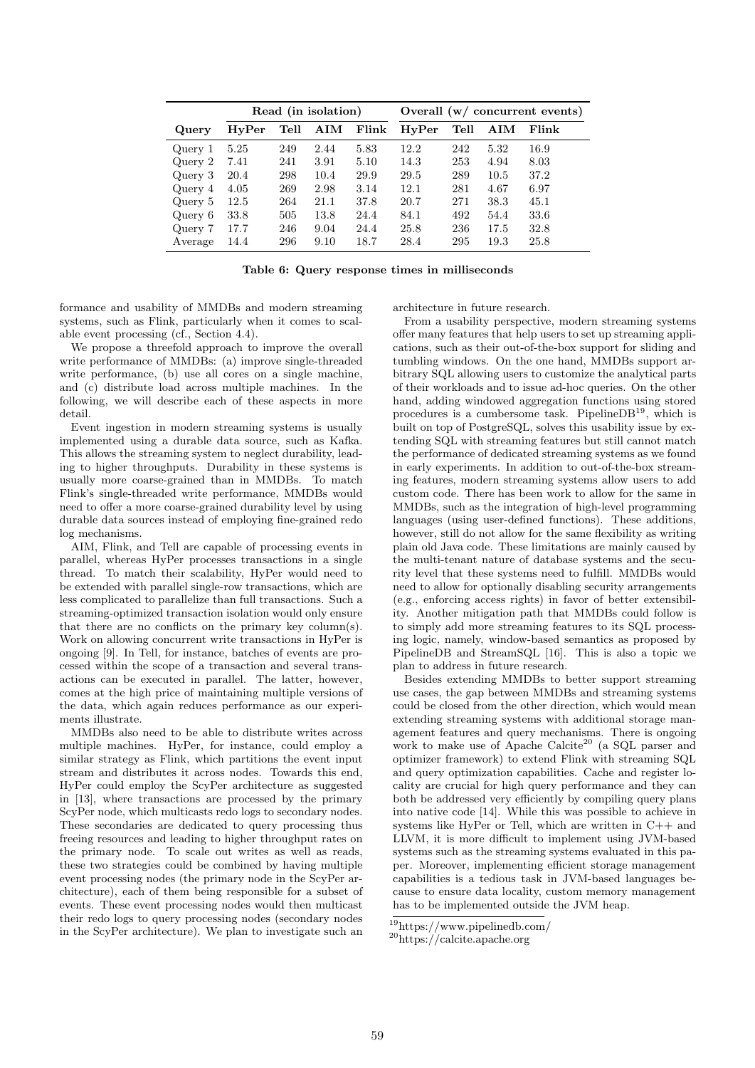|         | Read (in isolation) |      |             |       | Overall $(w / \text{ concurrent events})$ |      |             |       |
|---------|---------------------|------|-------------|-------|-------------------------------------------|------|-------------|-------|
| Query   | HvPer               | Tell | ${\bf AIM}$ | Flink | HyPer                                     | Tell | ${\bf AIM}$ | Flink |
| Query 1 | 5.25                | 249  | 2.44        | 5.83  | 12.2                                      | 242  | 5.32        | 16.9  |
| Query 2 | 7.41                | 241  | 3.91        | 5.10  | 14.3                                      | 253  | 4.94        | 8.03  |
| Query 3 | 20.4                | 298  | 10.4        | 29.9  | 29.5                                      | 289  | 10.5        | 37.2  |
| Query 4 | 4.05                | 269  | 2.98        | 3.14  | 12.1                                      | 281  | 4.67        | 6.97  |
| Query 5 | 12.5                | 264  | 21.1        | 37.8  | 20.7                                      | 271  | 38.3        | 45.1  |
| Query 6 | 33.8                | 505  | 13.8        | 24.4  | 84.1                                      | 492  | 54.4        | 33.6  |
| Query 7 | 17.7                | 246  | 9.04        | 24.4  | 25.8                                      | 236  | 17.5        | 32.8  |
| Average | 14.4                | 296  | 9.10        | 18.7  | 28.4                                      | 295  | 19.3        | 25.8  |

Table 6: Query response times in milliseconds

formance and usability of MMDBs and modern streaming systems, such as Flink, particularly when it comes to scalable event processing (cf., Section 4.4).

We propose a threefold approach to improve the overall write performance of MMDBs: (a) improve single-threaded write performance, (b) use all cores on a single machine. and (c) distribute load across multiple machines. In the following, we will describe each of these aspects in more detail.

Event ingestion in modern streaming systems is usually implemented using a durable data source, such as Kafka. This allows the streaming system to neglect durability, leading to higher throughputs. Durability in these systems is usually more coarse-grained than in MMDBs. To match Flink's single-threaded write performance, MMDBs would need to offer a more coarse-grained durability level by using durable data sources instead of employing fine-grained redo log mechanisms.

AIM, Flink, and Tell are capable of processing events in parallel, whereas HyPer processes transactions in a single thread. To match their scalability, HyPer would need to be extended with parallel single-row transactions, which are less complicated to parallelize than full transactions. Such a streaming-optimized transaction isolation would only ensure that there are no conflicts on the primary key column(s). Work on allowing concurrent write transactions in HyPer is ongoing [9]. In Tell, for instance, batches of events are processed within the scope of a transaction and several transactions can be executed in parallel. The latter, however, comes at the high price of maintaining multiple versions of the data, which again reduces performance as our experiments illustrate.

MMDBs also need to be able to distribute writes across multiple machines. HyPer, for instance, could employ a similar strategy as Flink, which partitions the event input stream and distributes it across nodes. Towards this end, HyPer could employ the ScyPer architecture as suggested in [13], where transactions are processed by the primary ScyPer node, which multicasts redo logs to secondary nodes. These secondaries are dedicated to query processing thus freeing resources and leading to higher throughput rates on the primary node. To scale out writes as well as reads, these two strategies could be combined by having multiple event processing nodes (the primary node in the ScyPer architecture), each of them being responsible for a subset of events. These event processing nodes would then multicast their redo logs to query processing nodes (secondary nodes in the ScyPer architecture). We plan to investigate such an

architecture in future research.

From a usability perspective, modern streaming systems offer many features that help users to set up streaming applications, such as their out-of-the-box support for sliding and tumbling windows. On the one hand, MMDBs support arbitrary SQL allowing users to customize the analytical parts of their workloads and to issue ad-hoc queries. On the other hand, adding windowed aggregation functions using stored procedures is a cumbersome task. PipelineDB<sup>19</sup>, which is built on top of PostgreSQL, solves this usability issue by extending SQL with streaming features but still cannot match the performance of dedicated streaming systems as we found in early experiments. In addition to out-of-the-box streaming features, modern streaming systems allow users to add custom code. There has been work to allow for the same in MMDBs, such as the integration of high-level programming languages (using user-defined functions). These additions, however, still do not allow for the same flexibility as writing plain old Java code. These limitations are mainly caused by the multi-tenant nature of database systems and the security level that these systems need to fulfill. MMDBs would need to allow for optionally disabling security arrangements (e.g., enforcing access rights) in favor of better extensibility. Another mitigation path that MMDBs could follow is to simply add more streaming features to its SQL processing logic, namely, window-based semantics as proposed by PipelineDB and StreamSQL [16]. This is also a topic we plan to address in future research.

Besides extending MMDBs to better support streaming use cases, the gap between MMDBs and streaming systems could be closed from the other direction, which would mean extending streaming systems with additional storage management features and query mechanisms. There is ongoing work to make use of Apache Calcite<sup>20</sup> (a SQL parser and optimizer framework) to extend Flink with streaming SQL and query optimization capabilities. Cache and register locality are crucial for high query performance and they can both be addressed very efficiently by compiling query plans into native code [14]. While this was possible to achieve in systems like HyPer or Tell, which are written in C++ and LLVM, it is more difficult to implement using JVM-based systems such as the streaming systems evaluated in this paper. Moreover, implementing efficient storage management capabilities is a tedious task in JVM-based languages because to ensure data locality, custom memory management has to be implemented outside the JVM heap.

<sup>19</sup>https://www.pipelinedb.com/

 $\,{}^{20}{\rm https://calcite.apache.org}$